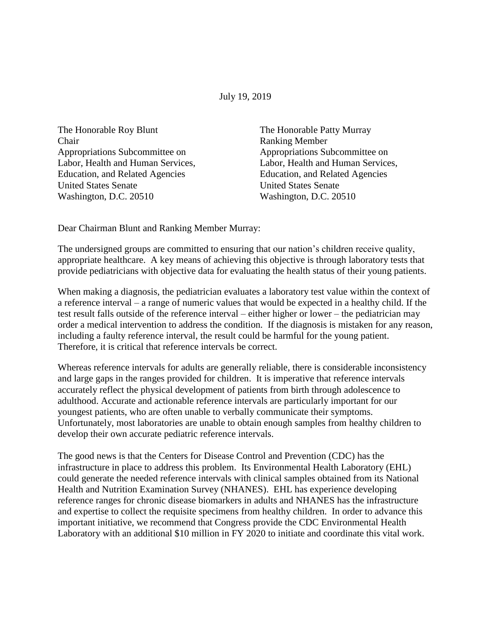July 19, 2019

The Honorable Roy Blunt The Honorable Patty Murray Chair Ranking Member Appropriations Subcommittee on Appropriations Subcommittee on Education, and Related Agencies Education, and Related Agencies United States Senate United States Senate Washington, D.C. 20510 Washington, D.C. 20510

Labor, Health and Human Services, Labor, Health and Human Services,

Dear Chairman Blunt and Ranking Member Murray:

The undersigned groups are committed to ensuring that our nation's children receive quality, appropriate healthcare. A key means of achieving this objective is through laboratory tests that provide pediatricians with objective data for evaluating the health status of their young patients.

When making a diagnosis, the pediatrician evaluates a laboratory test value within the context of a reference interval – a range of numeric values that would be expected in a healthy child. If the test result falls outside of the reference interval – either higher or lower – the pediatrician may order a medical intervention to address the condition. If the diagnosis is mistaken for any reason, including a faulty reference interval, the result could be harmful for the young patient. Therefore, it is critical that reference intervals be correct.

Whereas reference intervals for adults are generally reliable, there is considerable inconsistency and large gaps in the ranges provided for children. It is imperative that reference intervals accurately reflect the physical development of patients from birth through adolescence to adulthood. Accurate and actionable reference intervals are particularly important for our youngest patients, who are often unable to verbally communicate their symptoms. Unfortunately, most laboratories are unable to obtain enough samples from healthy children to develop their own accurate pediatric reference intervals.

The good news is that the Centers for Disease Control and Prevention (CDC) has the infrastructure in place to address this problem. Its Environmental Health Laboratory (EHL) could generate the needed reference intervals with clinical samples obtained from its National Health and Nutrition Examination Survey (NHANES). EHL has experience developing reference ranges for chronic disease biomarkers in adults and NHANES has the infrastructure and expertise to collect the requisite specimens from healthy children. In order to advance this important initiative, we recommend that Congress provide the CDC Environmental Health Laboratory with an additional \$10 million in FY 2020 to initiate and coordinate this vital work.